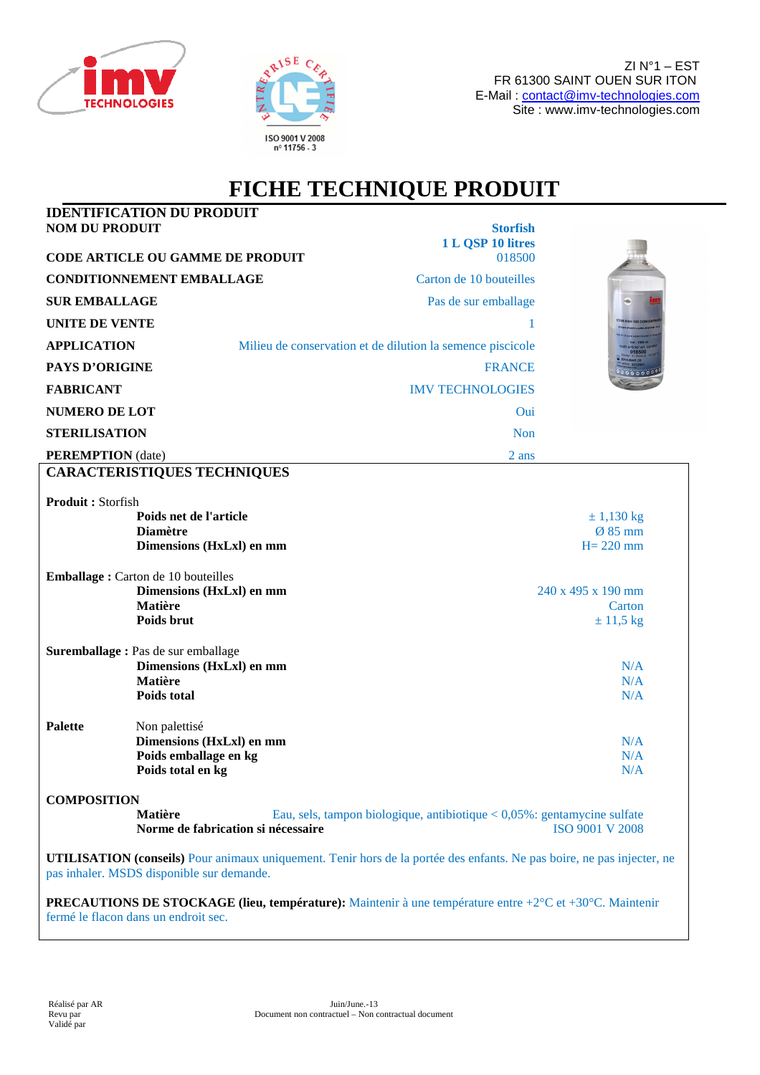



## **FICHE TECHNIQUE PRODUIT**

| <b>NOM DU PRODUIT</b>    | <b>IDENTIFICATION DU PRODUIT</b>                                                                                                                                           | <b>Storfish</b>                                                             |                    |
|--------------------------|----------------------------------------------------------------------------------------------------------------------------------------------------------------------------|-----------------------------------------------------------------------------|--------------------|
|                          |                                                                                                                                                                            | 1 L QSP 10 litres                                                           |                    |
|                          | <b>CODE ARTICLE OU GAMME DE PRODUIT</b>                                                                                                                                    | 018500                                                                      |                    |
|                          | <b>CONDITIONNEMENT EMBALLAGE</b>                                                                                                                                           | Carton de 10 bouteilles                                                     |                    |
| <b>SUR EMBALLAGE</b>     |                                                                                                                                                                            | Pas de sur emballage                                                        |                    |
| <b>UNITE DE VENTE</b>    |                                                                                                                                                                            |                                                                             |                    |
| <b>APPLICATION</b>       |                                                                                                                                                                            | Milieu de conservation et de dilution la semence piscicole                  |                    |
| <b>PAYS D'ORIGINE</b>    |                                                                                                                                                                            | <b>FRANCE</b>                                                               |                    |
| <b>FABRICANT</b>         |                                                                                                                                                                            | <b>IMV TECHNOLOGIES</b>                                                     |                    |
| <b>NUMERO DE LOT</b>     |                                                                                                                                                                            | Oui                                                                         |                    |
| <b>STERILISATION</b>     |                                                                                                                                                                            | <b>Non</b>                                                                  |                    |
| <b>PEREMPTION</b> (date) |                                                                                                                                                                            | 2 ans                                                                       |                    |
|                          | <b>CARACTERISTIQUES TECHNIQUES</b>                                                                                                                                         |                                                                             |                    |
| Produit: Storfish        |                                                                                                                                                                            |                                                                             |                    |
|                          | Poids net de l'article                                                                                                                                                     |                                                                             | $\pm$ 1,130 kg     |
|                          | <b>Diamètre</b>                                                                                                                                                            |                                                                             | $Ø$ 85 mm          |
|                          | Dimensions (HxLxl) en mm                                                                                                                                                   |                                                                             | $H = 220$ mm       |
|                          | <b>Emballage:</b> Carton de 10 bouteilles                                                                                                                                  |                                                                             |                    |
|                          | Dimensions (HxLxl) en mm                                                                                                                                                   |                                                                             | 240 x 495 x 190 mm |
|                          | <b>Matière</b>                                                                                                                                                             |                                                                             | Carton             |
|                          | Poids brut                                                                                                                                                                 |                                                                             | $± 11,5$ kg        |
|                          | Suremballage : Pas de sur emballage                                                                                                                                        |                                                                             |                    |
|                          | Dimensions (HxLxl) en mm                                                                                                                                                   |                                                                             | N/A                |
|                          | Matière<br><b>Poids total</b>                                                                                                                                              |                                                                             | N/A<br>N/A         |
|                          |                                                                                                                                                                            |                                                                             |                    |
| Palette                  | Non palettisé                                                                                                                                                              |                                                                             |                    |
|                          | Dimensions (HxLxl) en mm                                                                                                                                                   |                                                                             | N/A                |
|                          | Poids emballage en kg<br>Poids total en kg                                                                                                                                 |                                                                             | N/A<br>N/A         |
|                          |                                                                                                                                                                            |                                                                             |                    |
| <b>COMPOSITION</b>       | <b>Matière</b>                                                                                                                                                             |                                                                             |                    |
|                          | Norme de fabrication si nécessaire                                                                                                                                         | Eau, sels, tampon biologique, antibiotique < $0.05\%$ : gentamycine sulfate | ISO 9001 V 2008    |
|                          | <b>UTILISATION (conseils)</b> Pour animaux uniquement. Tenir hors de la portée des enfants. Ne pas boire, ne pas injecter, ne<br>pas inhaler. MSDS disponible sur demande. |                                                                             |                    |
|                          | <b>PRECAUTIONS DE STOCKAGE (lieu, température):</b> Maintenir à une température entre $+2^{\circ}$ C et $+30^{\circ}$ C. Maintenir<br>fermé le flacon dans un endroit sec. |                                                                             |                    |